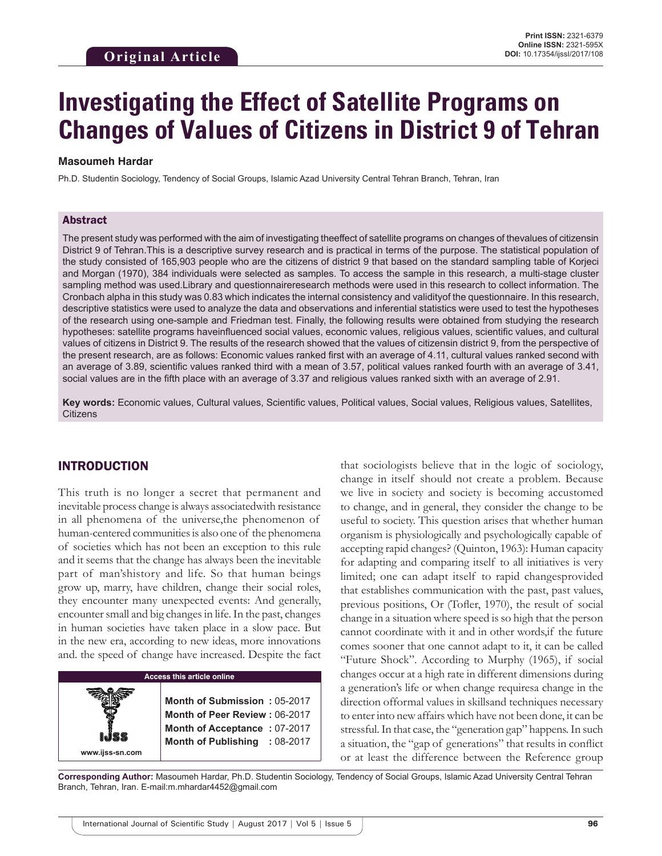# **Investigating the Effect of Satellite Programs on Changes of Values of Citizens in District 9 of Tehran**

#### **Masoumeh Hardar**

Ph.D. Studentin Sociology, Tendency of Social Groups, Islamic Azad University Central Tehran Branch, Tehran, Iran

#### Abstract

The present study was performed with the aim of investigating theeffect of satellite programs on changes of thevalues of citizensin District 9 of Tehran.This is a descriptive survey research and is practical in terms of the purpose. The statistical population of the study consisted of 165,903 people who are the citizens of district 9 that based on the standard sampling table of Korjeci and Morgan (1970), 384 individuals were selected as samples. To access the sample in this research, a multi-stage cluster sampling method was used.Library and questionnaireresearch methods were used in this research to collect information. The Cronbach alpha in this study was 0.83 which indicates the internal consistency and validityof the questionnaire. In this research, descriptive statistics were used to analyze the data and observations and inferential statistics were used to test the hypotheses of the research using one-sample and Friedman test. Finally, the following results were obtained from studying the research hypotheses: satellite programs haveinfluenced social values, economic values, religious values, scientific values, and cultural values of citizens in District 9. The results of the research showed that the values of citizensin district 9, from the perspective of the present research, are as follows: Economic values ranked first with an average of 4.11, cultural values ranked second with an average of 3.89, scientific values ranked third with a mean of 3.57, political values ranked fourth with an average of 3.41, social values are in the fifth place with an average of 3.37 and religious values ranked sixth with an average of 2.91.

**Key words:** Economic values, Cultural values, Scientific values, Political values, Social values, Religious values, Satellites, **Citizens** 

#### INTRODUCTION

**www.ijss-sn.com**

This truth is no longer a secret that permanent and inevitable process change is always associatedwith resistance in all phenomena of the universe,the phenomenon of human-centered communities is also one of the phenomena of societies which has not been an exception to this rule and it seems that the change has always been the inevitable part of man'shistory and life. So that human beings grow up, marry, have children, change their social roles, they encounter many unexpected events: And generally, encounter small and big changes in life. In the past, changes in human societies have taken place in a slow pace. But in the new era, according to new ideas, more innovations and. the speed of change have increased. Despite the fact

#### **Access this article online**

**Month of Submission :** 05-2017 **Month of Peer Review :** 06-2017 **Month of Acceptance :** 07-2017 **Month of Publishing :** 08-2017 that sociologists believe that in the logic of sociology, change in itself should not create a problem. Because we live in society and society is becoming accustomed to change, and in general, they consider the change to be useful to society. This question arises that whether human organism is physiologically and psychologically capable of accepting rapid changes? (Quinton, 1963): Human capacity for adapting and comparing itself to all initiatives is very limited; one can adapt itself to rapid changesprovided that establishes communication with the past, past values, previous positions, Or (Tofler, 1970), the result of social change in a situation where speed is so high that the person cannot coordinate with it and in other words,if the future comes sooner that one cannot adapt to it, it can be called "Future Shock". According to Murphy (1965), if social changes occur at a high rate in different dimensions during a generation's life or when change requiresa change in the direction offormal values in skillsand techniques necessary to enter into new affairs which have not been done, it can be stressful. In that case, the "generation gap" happens. In such a situation, the "gap of generations" that results in conflict or at least the difference between the Reference group

**Corresponding Author:** Masoumeh Hardar, Ph.D. Studentin Sociology, Tendency of Social Groups, Islamic Azad University Central Tehran Branch, Tehran, Iran. E-mail:m.mhardar4452@gmail.com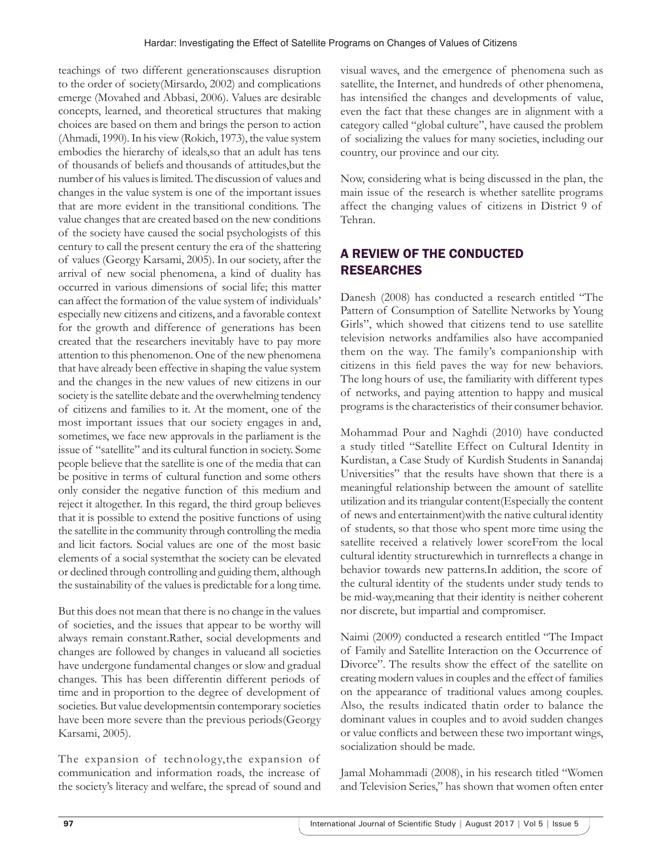teachings of two different generationscauses disruption to the order of society(Mirsardo, 2002) and complications emerge (Movahed and Abbasi, 2006). Values are desirable concepts, learned, and theoretical structures that making choices are based on them and brings the person to action (Ahmadi, 1990). In his view (Rokich, 1973), the value system embodies the hierarchy of ideals,so that an adult has tens of thousands of beliefs and thousands of attitudes,but the number of his values is limited. The discussion of values and changes in the value system is one of the important issues that are more evident in the transitional conditions. The value changes that are created based on the new conditions of the society have caused the social psychologists of this century to call the present century the era of the shattering of values (Georgy Karsami, 2005). In our society, after the arrival of new social phenomena, a kind of duality has occurred in various dimensions of social life; this matter can affect the formation of the value system of individuals' especially new citizens and citizens, and a favorable context for the growth and difference of generations has been created that the researchers inevitably have to pay more attention to this phenomenon. One of the new phenomena that have already been effective in shaping the value system and the changes in the new values of new citizens in our society is the satellite debate and the overwhelming tendency of citizens and families to it. At the moment, one of the most important issues that our society engages in and, sometimes, we face new approvals in the parliament is the issue of "satellite" and its cultural function in society. Some people believe that the satellite is one of the media that can be positive in terms of cultural function and some others only consider the negative function of this medium and reject it altogether. In this regard, the third group believes that it is possible to extend the positive functions of using the satellite in the community through controlling the media and licit factors. Social values are one of the most basic elements of a social systemthat the society can be elevated or declined through controlling and guiding them, although the sustainability of the values is predictable for a long time.

But this does not mean that there is no change in the values of societies, and the issues that appear to be worthy will always remain constant.Rather, social developments and changes are followed by changes in valueand all societies have undergone fundamental changes or slow and gradual changes. This has been differentin different periods of time and in proportion to the degree of development of societies. But value developmentsin contemporary societies have been more severe than the previous periods(Georgy Karsami, 2005).

The expansion of technology,the expansion of communication and information roads, the increase of the society's literacy and welfare, the spread of sound and visual waves, and the emergence of phenomena such as satellite, the Internet, and hundreds of other phenomena, has intensified the changes and developments of value, even the fact that these changes are in alignment with a category called "global culture", have caused the problem of socializing the values for many societies, including our country, our province and our city.

Now, considering what is being discussed in the plan, the main issue of the research is whether satellite programs affect the changing values of citizens in District 9 of Tehran.

# A REVIEW OF THE CONDUCTED RESEARCHES

Danesh (2008) has conducted a research entitled "The Pattern of Consumption of Satellite Networks by Young Girls", which showed that citizens tend to use satellite television networks andfamilies also have accompanied them on the way. The family's companionship with citizens in this field paves the way for new behaviors. The long hours of use, the familiarity with different types of networks, and paying attention to happy and musical programs is the characteristics of their consumer behavior.

Mohammad Pour and Naghdi (2010) have conducted a study titled "Satellite Effect on Cultural Identity in Kurdistan, a Case Study of Kurdish Students in Sanandaj Universities" that the results have shown that there is a meaningful relationship between the amount of satellite utilization and its triangular content(Especially the content of news and entertainment)with the native cultural identity of students, so that those who spent more time using the satellite received a relatively lower scoreFrom the local cultural identity structurewhich in turnreflects a change in behavior towards new patterns.In addition, the score of the cultural identity of the students under study tends to be mid-way,meaning that their identity is neither coherent nor discrete, but impartial and compromiser.

Naimi (2009) conducted a research entitled "The Impact of Family and Satellite Interaction on the Occurrence of Divorce". The results show the effect of the satellite on creating modern values in couples and the effect of families on the appearance of traditional values among couples. Also, the results indicated thatin order to balance the dominant values in couples and to avoid sudden changes or value conflicts and between these two important wings, socialization should be made.

Jamal Mohammadi (2008), in his research titled "Women and Television Series," has shown that women often enter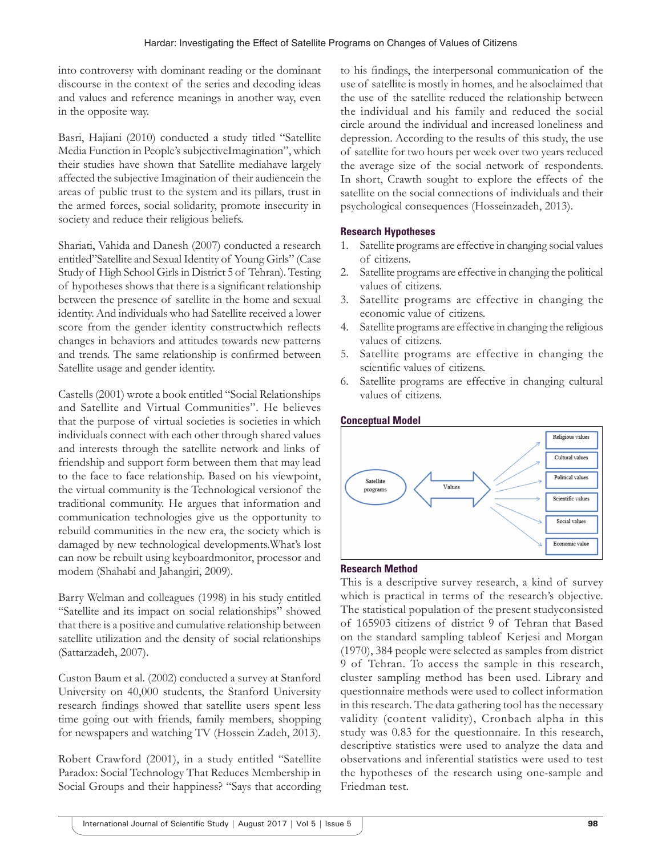into controversy with dominant reading or the dominant discourse in the context of the series and decoding ideas and values and reference meanings in another way, even in the opposite way.

Basri, Hajiani (2010) conducted a study titled "Satellite Media Function in People's subjectiveImagination", which their studies have shown that Satellite mediahave largely affected the subjective Imagination of their audiencein the areas of public trust to the system and its pillars, trust in the armed forces, social solidarity, promote insecurity in society and reduce their religious beliefs.

Shariati, Vahida and Danesh (2007) conducted a research entitled"Satellite and Sexual Identity of Young Girls" (Case Study of High School Girls in District 5 of Tehran). Testing of hypotheses shows that there is a significant relationship between the presence of satellite in the home and sexual identity. And individuals who had Satellite received a lower score from the gender identity constructwhich reflects changes in behaviors and attitudes towards new patterns and trends. The same relationship is confirmed between Satellite usage and gender identity.

Castells (2001) wrote a book entitled "Social Relationships and Satellite and Virtual Communities". He believes that the purpose of virtual societies is societies in which individuals connect with each other through shared values and interests through the satellite network and links of friendship and support form between them that may lead to the face to face relationship. Based on his viewpoint, the virtual community is the Technological versionof the traditional community. He argues that information and communication technologies give us the opportunity to rebuild communities in the new era, the society which is damaged by new technological developments.What's lost can now be rebuilt using keyboardmonitor, processor and modem (Shahabi and Jahangiri, 2009).

Barry Welman and colleagues (1998) in his study entitled "Satellite and its impact on social relationships" showed that there is a positive and cumulative relationship between satellite utilization and the density of social relationships (Sattarzadeh, 2007).

Custon Baum et al. (2002) conducted a survey at Stanford University on 40,000 students, the Stanford University research findings showed that satellite users spent less time going out with friends, family members, shopping for newspapers and watching TV (Hossein Zadeh, 2013).

Robert Crawford (2001), in a study entitled "Satellite Paradox: Social Technology That Reduces Membership in Social Groups and their happiness? "Says that according to his findings, the interpersonal communication of the use of satellite is mostly in homes, and he alsoclaimed that the use of the satellite reduced the relationship between the individual and his family and reduced the social circle around the individual and increased loneliness and depression. According to the results of this study, the use of satellite for two hours per week over two years reduced the average size of the social network of respondents. In short, Crawth sought to explore the effects of the satellite on the social connections of individuals and their psychological consequences (Hosseinzadeh, 2013).

#### **Research Hypotheses**

- 1. Satellite programs are effective in changing social values of citizens.
- 2. Satellite programs are effective in changing the political values of citizens.
- 3. Satellite programs are effective in changing the economic value of citizens.
- 4. Satellite programs are effective in changing the religious values of citizens.
- 5. Satellite programs are effective in changing the scientific values of citizens.
- 6. Satellite programs are effective in changing cultural values of citizens.



#### **Research Method**

This is a descriptive survey research, a kind of survey which is practical in terms of the research's objective. The statistical population of the present studyconsisted of 165903 citizens of district 9 of Tehran that Based on the standard sampling tableof Kerjesi and Morgan (1970), 384 people were selected as samples from district 9 of Tehran. To access the sample in this research, cluster sampling method has been used. Library and questionnaire methods were used to collect information in this research. The data gathering tool has the necessary validity (content validity), Cronbach alpha in this study was 0.83 for the questionnaire. In this research, descriptive statistics were used to analyze the data and observations and inferential statistics were used to test the hypotheses of the research using one-sample and Friedman test.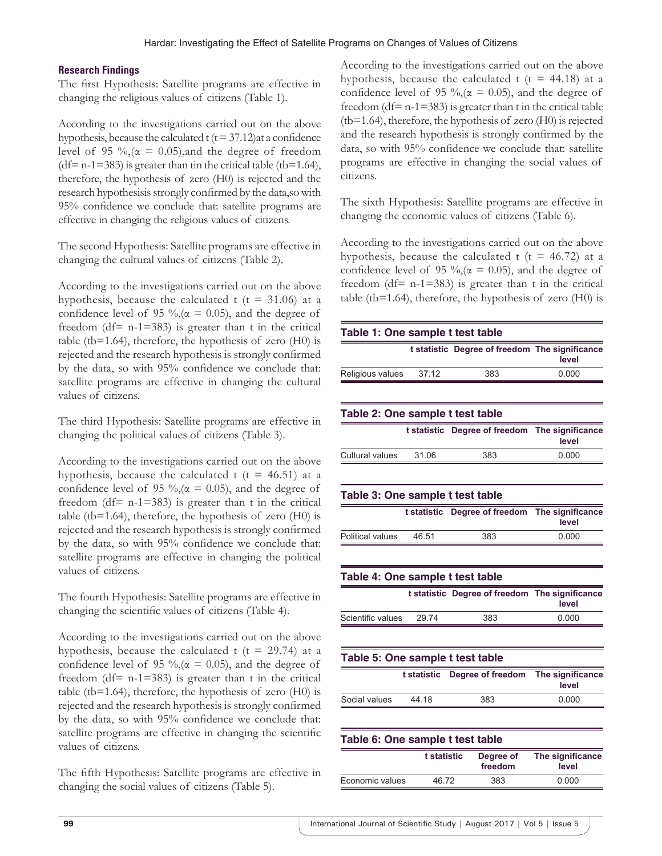#### **Research Findings**

The first Hypothesis: Satellite programs are effective in changing the religious values of citizens (Table 1).

According to the investigations carried out on the above hypothesis, because the calculated  $t (t = 37.12)$ at a confidence level of 95 %,  $(\alpha = 0.05)$ , and the degree of freedom  $(df= n-1=383)$  is greater than tin the critical table (tb=1.64), therefore, the hypothesis of zero (H0) is rejected and the research hypothesisis strongly confirmed by the data,so with 95% confidence we conclude that: satellite programs are effective in changing the religious values of citizens.

The second Hypothesis: Satellite programs are effective in changing the cultural values of citizens (Table 2).

According to the investigations carried out on the above hypothesis, because the calculated t ( $t = 31.06$ ) at a confidence level of 95 %,( $\alpha$  = 0.05), and the degree of freedom ( $df = n-1=383$ ) is greater than t in the critical table (tb=1.64), therefore, the hypothesis of zero (H0) is rejected and the research hypothesis is strongly confirmed by the data, so with 95% confidence we conclude that: satellite programs are effective in changing the cultural values of citizens.

The third Hypothesis: Satellite programs are effective in changing the political values of citizens (Table 3).

According to the investigations carried out on the above hypothesis, because the calculated t ( $t = 46.51$ ) at a confidence level of 95 %,( $\alpha$  = 0.05), and the degree of freedom ( $df = n-1=383$ ) is greater than t in the critical table (tb=1.64), therefore, the hypothesis of zero  $(H0)$  is rejected and the research hypothesis is strongly confirmed by the data, so with 95% confidence we conclude that: satellite programs are effective in changing the political values of citizens.

The fourth Hypothesis: Satellite programs are effective in changing the scientific values of citizens (Table 4).

According to the investigations carried out on the above hypothesis, because the calculated t ( $t = 29.74$ ) at a confidence level of 95 %,( $\alpha$  = 0.05), and the degree of freedom (df=  $n-1=383$ ) is greater than t in the critical table (tb=1.64), therefore, the hypothesis of zero (H0) is rejected and the research hypothesis is strongly confirmed by the data, so with 95% confidence we conclude that: satellite programs are effective in changing the scientific values of citizens.

The fifth Hypothesis: Satellite programs are effective in changing the social values of citizens (Table 5).

According to the investigations carried out on the above hypothesis, because the calculated t ( $t = 44.18$ ) at a confidence level of 95 %,( $\alpha$  = 0.05), and the degree of freedom ( $df = n-1=383$ ) is greater than t in the critical table (tb=1.64), therefore, the hypothesis of zero (H0) is rejected and the research hypothesis is strongly confirmed by the data, so with 95% confidence we conclude that: satellite programs are effective in changing the social values of citizens.

The sixth Hypothesis: Satellite programs are effective in changing the economic values of citizens (Table 6).

According to the investigations carried out on the above hypothesis, because the calculated t ( $t = 46.72$ ) at a confidence level of 95 %,( $\alpha$  = 0.05), and the degree of freedom (df=  $n-1=383$ ) is greater than t in the critical table (tb=1.64), therefore, the hypothesis of zero  $(H0)$  is

| Table 1: One sample t test table |             |                                                |                           |
|----------------------------------|-------------|------------------------------------------------|---------------------------|
|                                  |             | t statistic Degree of freedom The significance | level                     |
| Religious values                 | 37.12       | 383                                            | 0.000                     |
|                                  |             |                                                |                           |
| Table 2: One sample t test table |             |                                                |                           |
|                                  | t statistic | Degree of freedom                              | The significance<br>level |
| <b>Cultural values</b>           | 31.06       | 383                                            | 0.000                     |
|                                  |             |                                                |                           |
| Table 3: One sample t test table |             |                                                |                           |
|                                  |             | t statistic Degree of freedom                  | The significance<br>level |
| <b>Political values</b>          | 46.51       | 383                                            | 0.000                     |
|                                  |             |                                                |                           |
| Table 4: One sample t test table |             |                                                |                           |
|                                  |             | t statistic Degree of freedom The significance | level                     |
| Scientific values                | 29.74       | 383                                            | 0.000                     |
|                                  |             |                                                |                           |
| Table 5: One sample t test table |             |                                                |                           |
|                                  | t statistic | Degree of freedom                              | The significance<br>level |
| Social values                    | 44.18       | 383                                            | 0.000                     |
|                                  |             |                                                |                           |
| Table 6: One sample t test table |             |                                                |                           |
|                                  | t statistic | Degree of<br>freedom                           | The significance<br>level |
| Economic values                  | 46.72       | 383                                            | 0.000                     |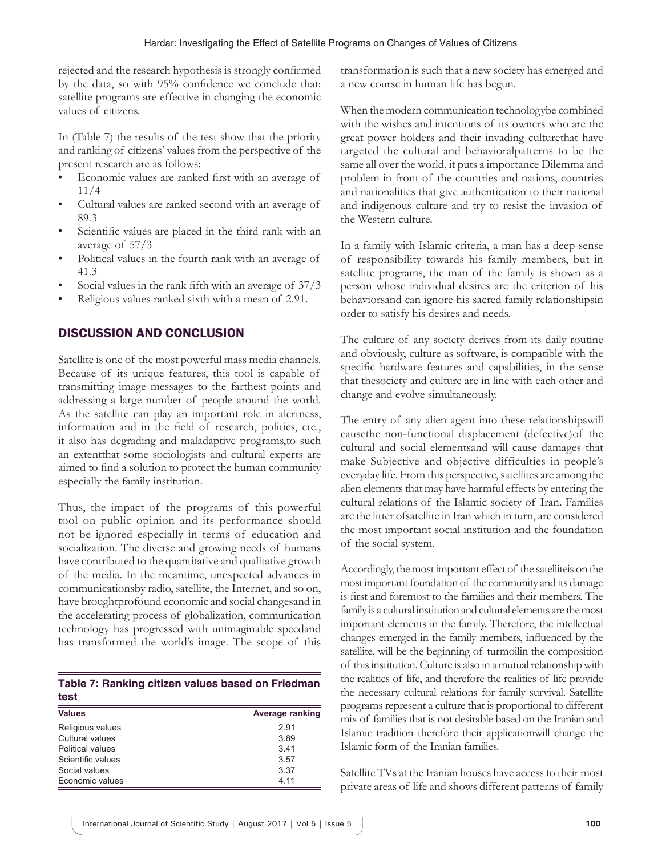rejected and the research hypothesis is strongly confirmed by the data, so with 95% confidence we conclude that: satellite programs are effective in changing the economic values of citizens.

In (Table 7) the results of the test show that the priority and ranking of citizens' values from the perspective of the present research are as follows:

- Economic values are ranked first with an average of 11/4
- Cultural values are ranked second with an average of 89.3
- Scientific values are placed in the third rank with an average of 57/3
- Political values in the fourth rank with an average of 41.3
- Social values in the rank fifth with an average of 37/3
- Religious values ranked sixth with a mean of 2.91.

## DISCUSSION AND CONCLUSION

Satellite is one of the most powerful mass media channels. Because of its unique features, this tool is capable of transmitting image messages to the farthest points and addressing a large number of people around the world. As the satellite can play an important role in alertness, information and in the field of research, politics, etc., it also has degrading and maladaptive programs,to such an extentthat some sociologists and cultural experts are aimed to find a solution to protect the human community especially the family institution.

Thus, the impact of the programs of this powerful tool on public opinion and its performance should not be ignored especially in terms of education and socialization. The diverse and growing needs of humans have contributed to the quantitative and qualitative growth of the media. In the meantime, unexpected advances in communicationsby radio, satellite, the Internet, and so on, have broughtprofound economic and social changesand in the accelerating process of globalization, communication technology has progressed with unimaginable speedand has transformed the world's image. The scope of this

|      | Table 7: Ranking citizen values based on Friedman |  |  |  |
|------|---------------------------------------------------|--|--|--|
| test |                                                   |  |  |  |

| <b>Values</b>     | Average ranking |
|-------------------|-----------------|
| Religious values  | 291             |
| Cultural values   | 3.89            |
| Political values  | 341             |
| Scientific values | 3.57            |
| Social values     | 3.37            |
| Economic values   | 4 11            |

transformation is such that a new society has emerged and a new course in human life has begun.

When the modern communication technologybe combined with the wishes and intentions of its owners who are the great power holders and their invading culturethat have targeted the cultural and behavioralpatterns to be the same all over the world, it puts a importance Dilemma and problem in front of the countries and nations, countries and nationalities that give authentication to their national and indigenous culture and try to resist the invasion of the Western culture.

In a family with Islamic criteria, a man has a deep sense of responsibility towards his family members, but in satellite programs, the man of the family is shown as a person whose individual desires are the criterion of his behaviorsand can ignore his sacred family relationshipsin order to satisfy his desires and needs.

The culture of any society derives from its daily routine and obviously, culture as software, is compatible with the specific hardware features and capabilities, in the sense that thesociety and culture are in line with each other and change and evolve simultaneously.

The entry of any alien agent into these relationshipswill causethe non-functional displacement (defective)of the cultural and social elementsand will cause damages that make Subjective and objective difficulties in people's everyday life. From this perspective, satellites are among the alien elements that may have harmful effects by entering the cultural relations of the Islamic society of Iran. Families are the litter ofsatellite in Iran which in turn, are considered the most important social institution and the foundation of the social system.

Accordingly, the most important effect of the satelliteis on the most important foundation of the community and its damage is first and foremost to the families and their members. The family is a cultural institution and cultural elements are the most important elements in the family. Therefore, the intellectual changes emerged in the family members, influenced by the satellite, will be the beginning of turmoilin the composition of this institution. Culture is also in a mutual relationship with the realities of life, and therefore the realities of life provide the necessary cultural relations for family survival. Satellite programs represent a culture that is proportional to different mix of families that is not desirable based on the Iranian and Islamic tradition therefore their applicationwill change the Islamic form of the Iranian families.

Satellite TVs at the Iranian houses have access to their most private areas of life and shows different patterns of family